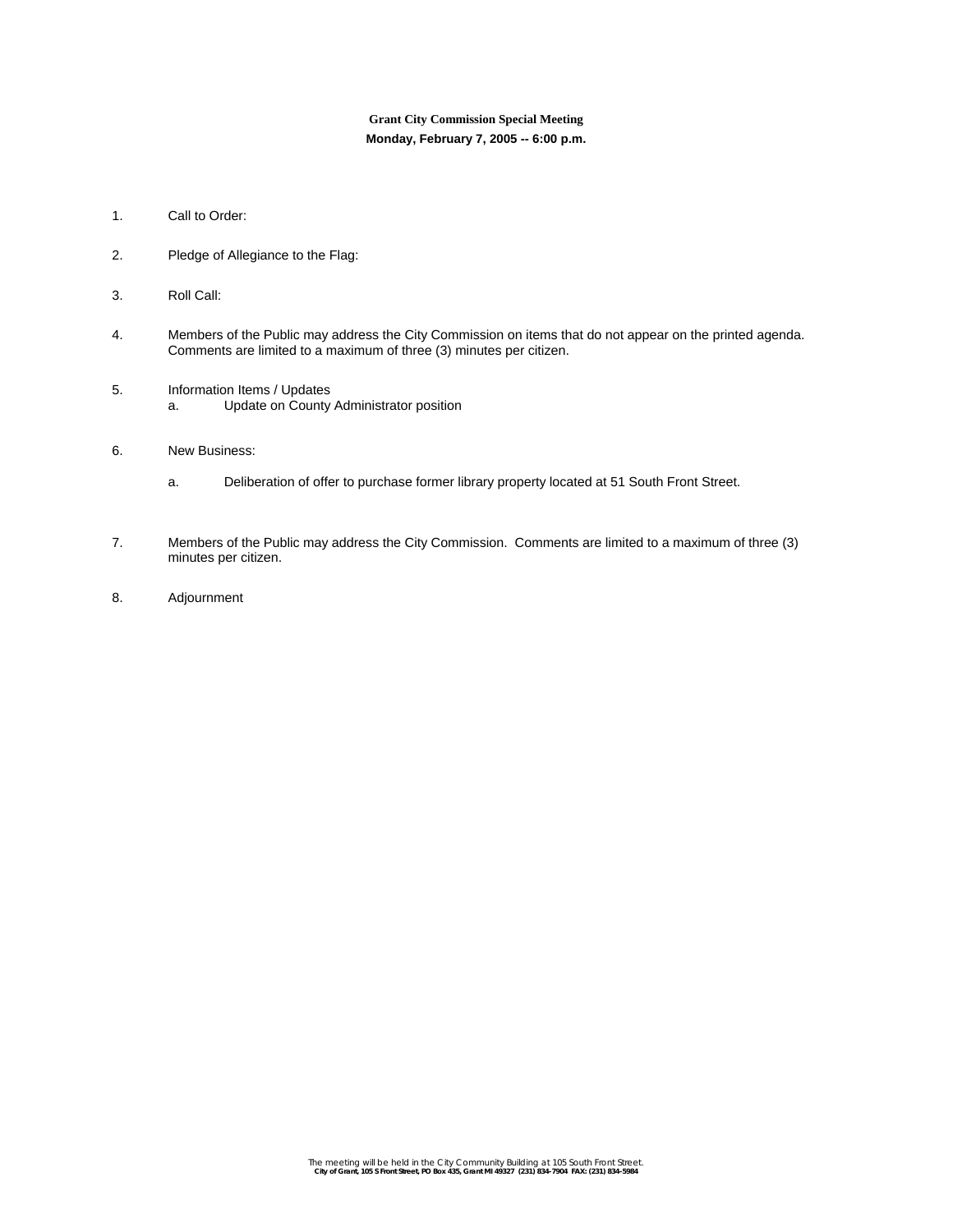## **Grant City Commission Special Meeting Monday, February 7, 2005 -- 6:00 p.m.**

- 1. Call to Order:
- 2. Pledge of Allegiance to the Flag:
- 3. Roll Call:
- 4. Members of the Public may address the City Commission on items that do not appear on the printed agenda. Comments are limited to a maximum of three (3) minutes per citizen.
- 5. Information Items / Updates a. Update on County Administrator position
- 6. New Business:
	- a. Deliberation of offer to purchase former library property located at 51 South Front Street.
- 7. Members of the Public may address the City Commission. Comments are limited to a maximum of three (3) minutes per citizen.
- 8. Adjournment